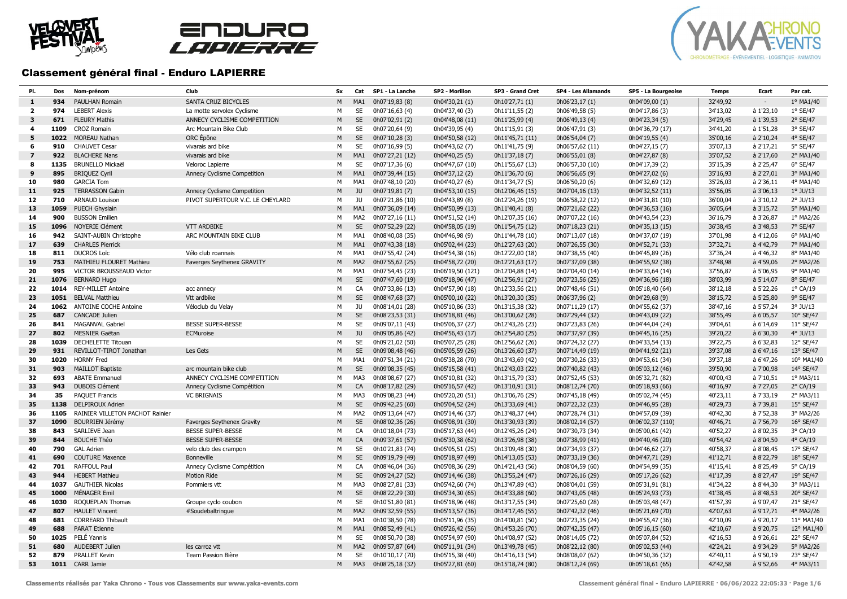





### Classement général final - Enduro LAPIERRE

| PI.            | Dos         | Nom-prénom                              | Club                                                   | Sx             | Cat             | SP1 - La Lanche                    | SP2 - Morillon                     | SP3 - Grand Cret                   | SP4 - Les Allamands                | SP5 - La Bourgeoise                 | <b>Temps</b>         | Ecart                  | Par cat.              |
|----------------|-------------|-----------------------------------------|--------------------------------------------------------|----------------|-----------------|------------------------------------|------------------------------------|------------------------------------|------------------------------------|-------------------------------------|----------------------|------------------------|-----------------------|
| 1              | 934         | <b>PAULHAN Romain</b>                   | SANTA CRUZ BICYCLES                                    | M              | MA <sub>1</sub> | 0h07'19,83 (8)                     | 0h04'30,21 (1)                     | 0h10'27,71 (1)                     | 0h06'23,17 (1)                     | 0h04'09,00 (1)                      | 32'49.92             |                        | 1° MA1/40             |
| $\overline{2}$ | 974         | <b>LEBERT Alexis</b>                    | La motte servolex Cyclisme                             | M              | <b>SE</b>       | 0h07'16,63 (4)                     | 0h04'37,40 (3)                     | 0h11'11,55 (2)                     | 0h06'49,58 (5)                     | 0h04'17,86 (3)                      | 34'13,02             | à 1'23,10              | $1°$ SE/47            |
| 3              | 671         | <b>FLEURY Mathis</b>                    | ANNECY CYCLISME COMPETITION                            | M              | <b>SE</b>       | 0h07'02,91 (2)                     | 0h04'48,08 (11)                    | 0h11'25,99 (4)                     | 0h06'49,13 (4)                     | 0h04'23,34 (5)                      | 34'29,45             | à 1'39,53              | $2°$ SE/47            |
| 4              | 1109        | <b>CROZ Romain</b>                      | Arc Mountain Bike Club                                 | M              | SE              | 0h07'20,64 (9)                     | 0h04'39,95 (4)                     | 0h11'15,91 (3)                     | 0h06'47,91 (3)                     | 0h04'36,79 (17)                     | 34'41,20             | à 1'51,28              | 3° SE/47              |
| 5              | 1022        | <b>MOREAU Nathan</b>                    | ORC Épône                                              | M              | <b>SE</b>       | 0h07'10,28 (3)                     | 0h04'50,58 (12)                    | 0h11'45,71 (11)                    | 0h06'54,04 (7)                     | 0h04'19,55 (4)                      | 35'00,16             | à 2'10.24              | 4° SE/47              |
| 6              | 910         | <b>CHAUVET Cesar</b>                    | vivarais ard bike                                      | M              | SE              | 0h07'16,99 (5)                     | 0h04'43,62 (7)                     | 0h11'41,75 (9)                     | 0h06'57,62 (11)                    | 0h04'27,15 (7)                      | 35'07,13             | à 2'17,21              | 5° SE/47              |
| $\mathbf{z}$   | 922         | <b>BLACHERE Nans</b>                    | vivarais ard bike                                      | M              | MA1             | 0h07'27,21 (12)                    | 0h04'40,25 (5)                     | 0h11'37,18 (7)                     | 0h06'55,01 (8)                     | 0h04'27,87 (8)                      | 35'07,52             | $\hat{a}$ 2'17,60      | 2° MA1/40             |
| 8              | 1135        | <b>BRUNELLO Mickaël</b>                 | Veloroc Lapierre                                       | M              | <b>SE</b>       | 0h07'17,36 (6)                     | 0h04'47,67 (10)                    | 0h11'55,67 (13)                    | 0h06'57,30 (10)                    | 0h04'17,39 (2)                      | 35'15,39             | à 2'25,47              | 6° SE/47              |
| 9              | 895         | <b>BRIQUEZ Cyril</b>                    | Annecy Cyclisme Competition                            | M              | MA1             | 0h07'39,44 (15)                    | 0h04'37,12 (2)                     | 0h11'36,70 (6)                     | 0h06'56,65 (9)                     | 0h04'27,02 (6)                      | 35'16,93             | à 2'27,01              | 3° MA1/40             |
| 10             | 980         | <b>GARCIA Tom</b>                       |                                                        | M              | MA1             | 0h07'48,10 (20)                    | 0h04'40,27 (6)                     | 0h11'34,77 (5)                     | 0h06'50,20 (6)                     | 0h04'32,69 (12)                     | 35'26,03             | à 2'36,11              | 4° MA1/40             |
| 11             | 925         | <b>TERRASSON Gabin</b>                  | Annecy Cyclisme Competition                            | M              | <b>JU</b>       | 0h07'19,81 (7)                     | 0h04'53,10 (15)                    | 0h12'06,46 (15)                    | 0h07'04,16 (13)                    | 0h04'32,52 (11)                     | 35'56,05             | à 3'06,13              | $1^\circ$ JU/13       |
| 12             | 710         | <b>ARNAUD Louison</b>                   | PIVOT SUPERTOUR V.C. LE CHEYLARD                       | М              | JU              | 0h07'21,86 (10)                    | 0h04'43,89 (8)                     | 0h12'24,26 (19)                    | 0h06'58,22 (12)                    | 0h04'31,81 (10)                     | 36'00,04             | à 3'10,12              | $2°$ JU/13            |
| 13             | 1059        | PUECH Ghyslain                          |                                                        | M              | MA1             | 0h07'36,09 (14)                    | 0h04'50,99 (13)                    | 0h11'40,41 (8)                     | 0h07'21,62 (22)                    | 0h04'36,53 (16)                     | 36'05,64             | à 3'15,72              | 5° MA1/40             |
| 14             | 900         | <b>BUSSON Emilien</b>                   |                                                        | M              | MA <sub>2</sub> | 0h07'27,16 (11)                    | 0h04'51,52 (14)                    | 0h12'07,35 (16)                    | 0h07'07,22 (16)                    | 0h04'43,54 (23)                     | 36'16,79             | à 3'26.87              | 1° MA2/26             |
| 15             | 1096        | <b>NOYERIE Clément</b>                  | <b>VTT ARDBIKE</b>                                     | ${\sf M}$      | <b>SE</b>       | 0h07'52,29 (22)                    | 0h04'58,05 (19)                    | 0h11'54,75 (12)                    | 0h07'18,23 (21)                    | 0h04'35,13 (15)                     | 36'38,45             | à 3'48,53              | 7° SE/47              |
| 16             | 942         | SAINT-AUBIN Christophe                  | ARC MOUNTAIN BIKE CLUB                                 | M              | MA1             | 0h08'40,08 (35)                    | 0h04'46,98 (9)                     | 0h11'44,78 (10)                    | 0h07'13,07 (18)                    | 0h04'37,07 (19)                     | 37'01,98             | à 4'12,06              | 6° MA1/40             |
| 17             | 639         | <b>CHARLES Pierrick</b>                 |                                                        | M              | MA1             | 0h07'43,38 (18)                    | 0h05'02,44 (23)                    | 0h12'27,63 (20)                    | 0h07'26,55 (30)                    | 0h04'52,71 (33)                     | 37'32,71             | à 4'42,79              | 7° MA1/40             |
| 18             | 811         | <b>DUCROS Loïc</b>                      | Vélo club roannais                                     | M              | MA <sub>1</sub> | 0h07'55,42 (24)                    | 0h04'54,38 (16)                    | 0h12'22,00 (18)                    | 0h07'38,55 (40)                    | 0h04'45,89 (26)                     | 37'36,24             | à 4'46,32              | 8° MA1/40             |
| 19             | 753         | MATHIEU FLOURET Mathieu                 | Faverges Seythenex GRAVITY                             | M              | MA <sub>2</sub> | 0h07'55,62 (25)                    | 0h04'58,72 (20)                    | 0h12'21,63 (17)                    | 0h07'37,09 (38)                    | 0h04'55,92 (38)                     | 37'48,98             | à 4'59,06              | 2° MA2/26             |
| 20             | 995         | VICTOR BROUSSEAUD Victor                |                                                        | M              | MA1             | 0h07'54,45 (23)                    | 0h06'19,50 (121)                   | 0h12'04,88 (14)                    | 0h07'04,40 (14)                    | 0h04'33,64 (14)                     | 37'56,87             | à 5'06,95              | 9° MA1/40             |
| 21             | 1076        | <b>BERNARD Hugo</b>                     |                                                        | ${\sf M}$      | <b>SE</b>       | 0h07'47,60 (19)                    | 0h05'18,96 (47)                    | 0h12'56,91 (27)                    | 0h07'23,56 (25)                    | 0h04'36,96 (18)                     | 38'03,99             | à 5'14,07              | 8° SE/47              |
| 22             | 1014        | <b>REY-MILLET Antoine</b>               | acc annecy                                             | M              | CA              | 0h07'33,86 (13)                    | 0h04'57,90 (18)                    | 0h12'33,56 (21)                    | 0h07'48,46 (51)                    | 0h05'18,40 (64)                     | 38'12,18             | à 5'22,26              | $1°$ CA/19            |
| 23             |             | 1051 BELVAL Matthieu                    | Vtt ardbike                                            | ${\sf M}$      | <b>SE</b>       | 0h08'47,68 (37)                    | 0h05'00,10 (22)                    | 0h13'20,30 (35)                    | 0h06'37,96 (2)                     | 0h04'29,68 (9)                      | 38'15,72             | à 5'25,80              | 9° SE/47              |
| 24             | 1062        | <b>ANTOINE COCHE Antoine</b>            | Véloclub du Velay                                      | M              | JU              | 0h08'14,01 (28)                    | 0h05'10,86 (33)                    | 0h13'15,38 (32)                    | 0h07'11,29 (17)                    | 0h04'55,62 (37)                     | 38'47,16             | à 5'57,24              | $3°$ JU/13            |
| 25             | 687         | <b>CANCADE Julien</b>                   |                                                        | ${\sf M}$      | <b>SE</b>       | 0h08'23,53 (31)                    | 0h05'18,81 (46)                    | 0h13'00,62 (28)                    | 0h07'29,44 (32)                    | 0h04'43,09 (22)                     | 38'55,49             | à 6'05,57              | 10° SE/47             |
| 26             | 841         | <b>MAGANVAL Gabriel</b>                 | <b>BESSE SUPER-BESSE</b>                               | M              | <b>SE</b>       | 0h09'07,11 (43)                    | 0h05'06,37 (27)                    | 0h12'43,26 (23)                    | 0h07'23,83 (26)                    | 0h04'44,04 (24)                     | 39'04,61             | à 6'14,69              | 11° SE/47             |
| 27             | 802         | MESNIER Gaëtan                          | ECMuroise                                              | ${\sf M}$      | JU              | 0h09'05,86 (42)                    | 0h04'56,43 (17)                    | 0h12'54,80 (25)                    | 0h07'37,97 (39)                    | 0h04'45,16 (25)                     | 39'20,22             | à 6'30,30              | $4°$ JU/13            |
| 28             | 1039        | DECHELETTE Titouan                      |                                                        | M              | SE              | 0h09'21,02 (50)                    | 0h05'07,25 (28)                    | 0h12'56,62 (26)                    | 0h07'24,32 (27)                    | 0h04'33,54 (13)                     | 39'22,75             | à 6'32,83              | 12° SE/47             |
| 29             | 931         | REVILLOT-TIROT Jonathan                 | Les Gets                                               | ${\sf M}$      | <b>SE</b>       | 0h09'08,48 (46)                    | 0h05'05,59 (26)                    | 0h13'26,60 (37)                    | 0h07'14,49 (19)                    | 0h04'41,92 (21)                     | 39'37,08             | à 6'47,16              | 13° SE/47             |
| 30             | 1020        | <b>HORNY Fred</b>                       |                                                        | M              | MA1             | 0h07'51,34 (21)                    | 0h05'38,28 (70)                    | 0h13'43,69 (42)                    | 0h07'30,26 (33)                    | 0h04'53,61 (34)                     | 39'37,18             | à 6'47,26              | 10° MA1/40            |
| 31             | 903         | <b>MAILLOT Baptiste</b>                 | arc mountain bike club                                 | ${\sf M}$      | <b>SE</b>       | 0h09'08,35 (45)                    | 0h05'15,58 (41)                    | 0h12'43,03 (22)                    | 0h07'40,82 (43)                    | 0h05'03,12 (46)                     | 39'50,90             | à 7'00,98              | 14° SE/47             |
| 32             | 693         | <b>ABATE Emmanuel</b>                   | ANNECY CYCLISME COMPETITION                            | M              | MA3             | 0h08'08,67 (27)                    | 0h05'10,81 (32)                    | 0h13'15,79 (33)                    | 0h07'52,45 (53)                    | 0h05'32,71 (82)                     | 40'00,43             | à 7'10,51              | 1° MA3/11             |
| 33             | 943         | <b>DUBOIS Clément</b>                   | Annecy Cyclisme Compétition                            | M              | CA              | 0h08'17,82 (29)                    | 0h05'16,57 (42)                    | 0h13'10,91 (31)                    | 0h08'12,74 (70)                    | 0h05'18,93 (66)                     | 40'16,97             | à 7'27,05              | $2^{\circ}$ CA/19     |
| 34             | 35          | <b>PAQUET Francis</b>                   | <b>VC BRIGNAIS</b>                                     | M              | MA3             | 0h09'08,23 (44)                    | 0h05'20,20 (51)                    | 0h13'06,76 (29)                    | 0h07'45,18 (49)                    | 0h05'02,74 (45)                     | 40'23,11             | à 7'33,19              | 2° MA3/11             |
| 35             | 1138        | <b>DELPIROUX Adrien</b>                 |                                                        | ${\sf M}$      | <b>SE</b>       | 0h09'42,25 (60)                    | 0h05'04,52 (24)                    | 0h13'33,69 (41)                    | 0h07'22,32 (23)                    | 0h04'46,95 (28)                     | 40'29,73             | à 7'39,81              | 15° SE/47             |
| 36             | 1105        | RAINIER VILLETON PACHOT Rainier         |                                                        | M              | MA <sub>2</sub> | 0h09'13,64 (47)                    | 0h05'14,46 (37)                    | 0h13'48,37 (44)                    | 0h07'28,74 (31)                    | 0h04'57,09 (39)                     | 40'42,30             | à 7'52,38              | 3° MA2/26             |
| 37<br>38       | 1090<br>843 | <b>BOURRIEN Jérémy</b><br>SARLIEVE Jean | Faverges Seythenex Gravity<br><b>BESSE SUPER-BESSE</b> | ${\sf M}$<br>M | <b>SE</b><br>CA | 0h08'02,36 (26)<br>0h10'18,04 (73) | 0h05'08,91 (30)                    | 0h13'30,93 (39)                    | 0h08'02,14 (57)                    | 0h06'02,37 (110)<br>0h05'00,61 (42) | 40'46,71<br>40'52,27 | à 7'56,79<br>à 8'02,35 | 16° SE/47<br>3° CA/19 |
| 39             | 844         | <b>BOUCHE Théo</b>                      | <b>BESSE SUPER-BESSE</b>                               | ${\sf M}$      |                 |                                    | 0h05'17,63 (44)                    | 0h12'45,26 (24)                    | 0h07'30,73 (34)                    |                                     |                      | $a$ 8'04,50            | 4° CA/19              |
| 40             | 790         | <b>GAL Adrien</b>                       | velo club des crampon                                  | M              | CA<br><b>SE</b> | 0h09'37,61 (57)<br>0h10'21,83 (74) | 0h05'30,38 (62)<br>0h05'05,51 (25) | 0h13'26,98 (38)<br>0h13'09,48 (30) | 0h07'38,99 (41)<br>0h07'34,93 (37) | 0h04'40,46 (20)<br>0h04'46,62 (27)  | 40'54,42<br>40'58,37 | à 8'08,45              | 17° SE/47             |
| 41             | 690         | <b>COUTURE Maxence</b>                  | <b>Bonneville</b>                                      | ${\sf M}$      | <b>SE</b>       | 0h09'19,79 (49)                    | 0h05'18,97 (49)                    | 0h14'13,05 (53)                    | 0h07'33,19 (36)                    | 0h04'47,71 (29)                     | 41'12,71             | à 8'22,79              | 18° SE/47             |
| 42             | 701         | <b>RAFFOUL Paul</b>                     | Annecy Cyclisme Compétition                            | M              | CA              | 0h08'46,04 (36)                    | 0h05'08,36 (29)                    | 0h14'21,43 (56)                    | 0h08'04,59 (60)                    | 0h04'54,99 (35)                     | 41'15,41             | à 8'25,49              | 5° CA/19              |
| 43             | 944         | <b>HEBERT Mathieu</b>                   | <b>Motion Ride</b>                                     | ${\sf M}$      | <b>SE</b>       | 0h09'24,27 (52)                    | 0h05'14,46 (38)                    | 0h13'55,24 (47)                    | 0h07'26,16 (29)                    | 0h05'17,26 (62)                     | 41'17,39             | à 8'27,47              | 19° SE/47             |
| 44             | 1037        | <b>GAUTHIER Nicolas</b>                 | Pommiers vtt                                           | M              | MA3             | 0h08'27,81 (33)                    | 0h05'42,60 (74)                    | 0h13'47,89 (43)                    | 0h08'04,01 (59)                    | 0h05'31,91 (81)                     | 41'34,22             | à 8'44,30              | 3° MA3/11             |
| 45             | 1000        | MÉNAGER Emil                            |                                                        | ${\sf M}$      | <b>SE</b>       | 0h08'22,29 (30)                    | 0h05'34,30 (65)                    | 0h14'33,88 (60)                    | 0h07'43,05 (48)                    | 0h05'24,93 (73)                     | 41'38,45             | $a$ 8'48,53            | 20° SE/47             |
| 46             | 1030        | ROQUEPLAN Thomas                        | Groupe cyclo coubon                                    | M              | <b>SE</b>       | 0h10'51,80 (81)                    | 0h05'18,96 (48)                    | 0h13'17,55 (34)                    | 0h07'25,60 (28)                    | 0h05'03,48 (47)                     | 41'57,39             | à 9'07,47              | 21° SE/47             |
| 47             | 807         | <b>HAULET Vincent</b>                   | #Soudebaltringue                                       | ${\sf M}$      | MA <sub>2</sub> | 0h09'32,59 (55)                    | 0h05'13,57 (36)                    | 0h14'17,46 (55)                    | 0h07'42,32 (46)                    | 0h05'21,69 (70)                     | 42'07,63             | à 9'17,71              | 4° MA2/26             |
| 48             | 681         | <b>CORREARD Thibault</b>                |                                                        | М              | MA1             | 0h10'38,50 (78)                    | 0h05'11,96 (35)                    | 0h14'00,81 (50)                    | 0h07'23,35 (24)                    | 0h04'55,47 (36)                     | 42'10,09             | à 9'20,17              | 11° MA1/40            |
| 49             | 688         | <b>PARAT Etienne</b>                    |                                                        | M              | MA1             | 0h08'52,49 (41)                    | 0h05'26,42 (56)                    | 0h14'53,26 (70)                    | 0h07'42,35 (47)                    | 0h05'16,15 (60)                     | 42'10,67             | à 9'20,75              | 12° MA1/40            |
| 50             | 1025        | PELÉ Yannis                             |                                                        | M              | <b>SE</b>       | 0h08'50,70 (38)                    | 0h05'54,97 (90)                    | 0h14'08,97 (52)                    | 0h08'14,05 (72)                    | 0h05'07,84 (52)                     | 42'16,53             | à 9'26,61              | 22° SE/47             |
| 51             | 680         | <b>AUDEBERT Julien</b>                  | les carroz vtt                                         | M              | MA <sub>2</sub> | 0h09'57,87 (64)                    | 0h05'11,91 (34)                    | 0h13'49,78 (45)                    | 0h08'22,12 (80)                    | 0h05'02,53 (44)                     | 42'24,21             | à 9'34,29              | 5° MA2/26             |
| 52             | 879         | <b>PRALLET Kevin</b>                    | Team Passion Bière                                     | M              | <b>SE</b>       | 0h10'10,17 (70)                    | 0h05'15,38 (40)                    | 0h14'16,13 (54)                    | 0h08'08,07 (62)                    | 0h04'50,36 (32)                     | 42'40,11             | à 9'50,19              | 23° SE/47             |
| 53             |             | 1011 CARR Jamie                         |                                                        | M              | MA3             | 0h08'25,18 (32)                    | 0h05'27,81 (60)                    | 0h15'18,74 (80)                    | 0h08'12,24 (69)                    | 0h05'18,61 (65)                     | 42'42,58             | à 9'52,66              | 4° MA3/11             |
|                |             |                                         |                                                        |                |                 |                                    |                                    |                                    |                                    |                                     |                      |                        |                       |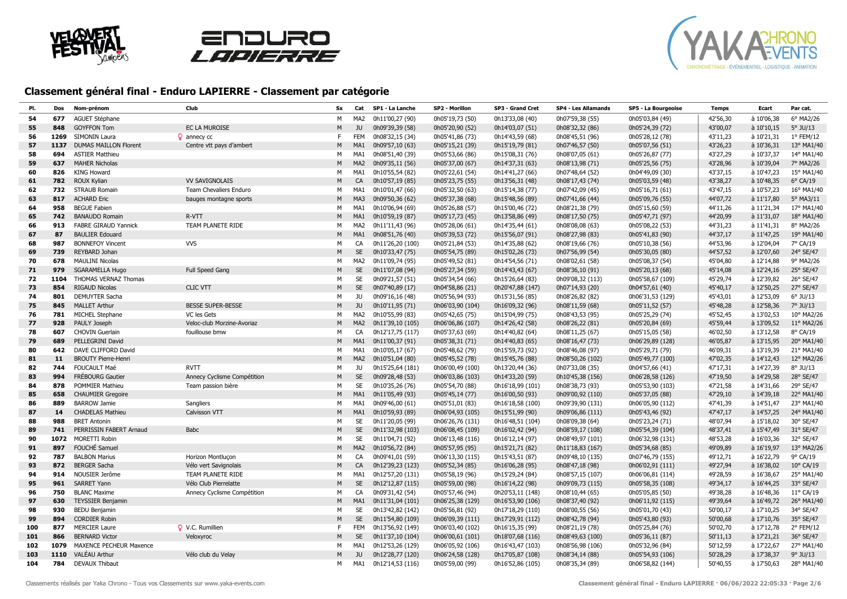





| PI. | Dos  | Nom-prénom                     | Club                        | Sx | Cat             | SP1 - La Lanche  | SP2 - Morillon   | SP3 - Grand Cret | SP4 - Les Allamands | SP5 - La Bourgeoise | Temps    | Ecart      | Par cat.          |
|-----|------|--------------------------------|-----------------------------|----|-----------------|------------------|------------------|------------------|---------------------|---------------------|----------|------------|-------------------|
| 54  | 677  | AGUET Stéphane                 |                             | M  | MA <sub>2</sub> | 0h11'00,27 (90)  | 0h05'19,73 (50)  | 0h13'33,08 (40)  | 0h07'59,38 (55)     | 0h05'03,84 (49)     | 42'56,30 | à 10'06,38 | 6° MA2/26         |
| 55  | 848  | <b>GOYFFON Tom</b>             | EC LA MUROISE               | M  | JU              | 0h09'39,39 (58)  | 0h05'20,90 (52)  | 0h14'03,07 (51)  | 0h08'32,32 (86)     | 0h05'24,39 (72)     | 43'00,07 | à 10'10,15 | $5^\circ$ JU/13   |
| 56  | 1269 | SIMONIN Laura                  | $Q$ annecy $cc$             | F. | <b>FEM</b>      | 0h08'32,15 (34)  | 0h05'41,86 (73)  | 0h14'43,59 (68)  | 0h08'45,51 (96)     | 0h05'28,12 (78)     | 43'11,23 | à 10'21,31 | 1° FEM/12         |
| 57  | 1137 | <b>DUMAS MAILLON Florent</b>   | Centre vtt pays d'ambert    | M  | MA1             | 0h09'57,10 (63)  | 0h05'15,21 (39)  | 0h15'19,79 (81)  | 0h07'46,57 (50)     | 0h05'07,56 (51)     | 43'26,23 | à 10'36,31 | 13° MA1/40        |
| 58  | 694  | <b>ASTIER Matthieu</b>         |                             | м  | MA1             | 0h08'51,40 (39)  | 0h05'53,66 (86)  | 0h15'08,31 (76)  | 0h08'07,05 (61)     | 0h05'26,87 (77)     | 43'27,29 | à 10'37,37 | 14° MA1/40        |
| 59  | 637  | <b>MAHER Nicholas</b>          |                             | M  | MA <sub>2</sub> | 0h09'35,11 (56)  | 0h05'37,00 (67)  | 0h14'37,31 (63)  | 0h08'13,98 (71)     | 0h05'25,56 (75)     | 43'28,96 | à 10'39,04 | 7° MA2/26         |
| 60  | 826  | <b>KING Howard</b>             |                             | M  | MA1             | 0h10'55,54 (82)  | 0h05'22,61 (54)  | 0h14'41,27 (66)  | 0h07'48,64 (52)     | 0h04'49,09 (30)     | 43'37,15 | à 10'47,23 | 15° MA1/40        |
| 61  | 782  | ROUX Kylian                    | <b>VV SAVIGNOLAIS</b>       | M  | CA              | 0h10'57,19 (85)  | 0h05'23,75 (55)  | 0h13'56,31 (48)  | 0h08'17,43 (74)     | 0h05'03,59 (48)     | 43'38,27 | à 10'48,35 | $6^{\circ}$ CA/19 |
| 62  | 732  | <b>STRAUB Romain</b>           | Team Chevaliers Enduro      | м  | MA1             | 0h10'01,47 (66)  | 0h05'32,50 (63)  | 0h15'14,38 (77)  | 0h07'42,09 (45)     | 0h05'16,71 (61)     | 43'47,15 | à 10'57,23 | 16° MA1/40        |
| 63  | 817  | <b>ACHARD Eric</b>             | bauges montagne sports      | M  | MA3             | 0h09'50,36 (62)  | 0h05'37,38 (68)  | 0h15'48,56 (89)  | 0h07'41,66 (44)     | 0h05'09,76 (55)     | 44'07,72 | à 11'17,80 | 5° MA3/11         |
| 64  | 958  | <b>BEGUE Fabien</b>            |                             | M  | MA1             | 0h10'06,94 (69)  | 0h05'26,88 (57)  | 0h15'00,46 (72)  | 0h08'21,38 (79)     | 0h05'15,60 (59)     | 44'11,26 | à 11'21,34 | 17° MA1/40        |
| 65  | 742  | <b>BANAUDO Romain</b>          | R-VTT                       | M  | MA1             | 0h10'59,19 (87)  | 0h05'17,73 (45)  | 0h13'58,86 (49)  | 0h08'17,50 (75)     | 0h05'47,71 (97)     | 44'20,99 | à 11'31,07 | 18° MA1/40        |
| 66  | 913  | <b>FABRE GIRAUD Yannick</b>    | TEAM PLANETE RIDE           | M  | MA2             | 0h11'11,43 (96)  | 0h05'28,06 (61)  | 0h14'35,44 (61)  | 0h08'08,08 (63)     | 0h05'08,22 (53)     | 44'31,23 | à 11'41,31 | 8° MA2/26         |
| 67  | 87   | <b>BAULIER Edouard</b>         |                             | M  | MA1             | 0h08'51,76 (40)  | 0h05'39,53 (72)  | 0h15'56,07 (91)  | 0h08'27,98 (83)     | 0h05'41,83 (90)     | 44'37,17 | à 11'47,25 | 19° MA1/40        |
| 68  | 987  | <b>BONNEFOY Vincent</b>        | <b>VVS</b>                  | M  | CA              | 0h11'26,20 (100) | 0h05'21,84 (53)  | 0h14'35,88 (62)  | 0h08'19,66 (76)     | 0h05'10,38 (56)     | 44'53,96 | à 12'04,04 | 7° CA/19          |
| 69  | 739  | REYBARD Johan                  |                             | M  | <b>SE</b>       | 0h10'33,47 (75)  | 0h05'54,75 (89)  | 0h15'02,26 (73)  | 0h07'56,99 (54)     | 0h05'30,05 (80)     | 44'57,52 | à 12'07,60 | 24° SE/47         |
| 70  | 678  | <b>MAULINI Nicolas</b>         |                             | M  | MA <sub>2</sub> | 0h11'09,74 (95)  | 0h05'49,52 (81)  | 0h14'54,56 (71)  | 0h08'02,61 (58)     | 0h05'08,37 (54)     | 45'04,80 | à 12'14,88 | 9° MA2/26         |
| 71  | 979  | <b>SGARAMELLA Hugo</b>         | Full Speed Gang             | M  | <b>SE</b>       | 0h11'07,08 (94)  | 0h05'27,34 (59)  | 0h14'43,43 (67)  | 0h08'36,10 (91)     | 0h05'20,13 (68)     | 45'14,08 | à 12'24,16 | 25° SE/47         |
| 72  | 1104 | THOMAS VERNAZ Thomas           |                             | M  | <b>SE</b>       | 0h09'21,57 (51)  | 0h05'34,54 (66)  | 0h15'26,64 (83)  | 0h09'08,32 (113)    | 0h05'58,67 (109)    | 45'29,74 | à 12'39,82 | 26° SE/47         |
| 73  | 854  | <b>RIGAUD Nicolas</b>          | <b>CLIC VTT</b>             | M  | <b>SE</b>       | 0h07'40,89 (17)  | 0h04'58,86 (21)  | 0h20'47,88 (147) | 0h07'14,93 (20)     | 0h04'57,61 (40)     | 45'40,17 | à 12'50,25 | 27° SE/47         |
| 74  | 801  | <b>DEMUYTER Sacha</b>          |                             | м  | JU              | 0h09'16,16 (48)  | 0h05'56,94 (93)  | 0h15'31,56 (85)  | 0h08'26,82 (82)     | 0h06'31,53 (129)    | 45'43,01 | à 12'53,09 | $6^{\circ}$ JU/13 |
| 75  | 845  | <b>MALLET Arthur</b>           | <b>BESSE SUPER-BESSE</b>    | M  | JU              | 0h10'11,95 (71)  | 0h06'03,90 (104) | 0h16'09,32 (96)  | 0h08'11,59 (68)     | 0h05'11,52 (57)     | 45'48,28 | à 12'58,36 | $7°$ JU/13        |
| 76  | 781  | <b>MICHEL Stephane</b>         | VC les Gets                 | M  | MA2             | 0h10'55,99 (83)  | 0h05'42,65 (75)  | 0h15'04,99 (75)  | 0h08'43,53 (95)     | 0h05'25,29 (74)     | 45'52,45 | à 13'02,53 | 10° MA2/26        |
| 77  | 928  | PAULY Joseph                   | Veloc-club Morzine-Avoriaz  | M  | MA <sub>2</sub> | 0h11'39,10 (105) | 0h06'06,86 (107) | 0h14'26,42 (58)  | 0h08'26,22 (81)     | 0h05'20,84 (69)     | 45'59,44 | à 13'09,52 | 11° MA2/26        |
| 78  | 607  | <b>CHOVIN Guerlain</b>         | fouillouse bmw              | M  | CA              | 0h12'17,75 (117) | 0h05'37,63 (69)  | 0h14'40,82 (64)  | 0h08'11,25 (67)     | 0h05'15,05 (58)     | 46'02,50 | à 13'12,58 | 8° CA/19          |
| 79  | 689  | PELLEGRINI David               |                             | M  | MA1             | 0h11'00,37 (91)  | 0h05'38,31 (71)  | 0h14'40,83 (65)  | 0h08'16,47 (73)     | 0h06'29,89 (128)    | 46'05,87 | à 13'15,95 | 20° MA1/40        |
| 80  | 642  | DAVE CLIFFORD David            |                             | м  | MA1             | 0h10'05,17 (67)  | 0h05'48,62 (79)  | 0h15'59,73 (92)  | 0h08'46,08 (97)     | 0h05'29,71 (79)     | 46'09,31 | à 13'19,39 | 21° MA1/40        |
| 81  | 11   | <b>BROUTY Pierre-Henri</b>     |                             | M  | MA <sub>2</sub> | 0h10'51,04 (80)  | 0h05'45,52 (78)  | 0h15'45,76 (88)  | 0h08'50,26 (102)    | 0h05'49,77 (100)    | 47'02,35 | à 14'12,43 | 12° MA2/26        |
| 82  | 744  | <b>FOUCAULT Maé</b>            | <b>RVTT</b>                 | M  | JU              | 0h15'25,64 (181) | 0h06'00,49 (100) | 0h13'20,44 (36)  | 0h07'33,08 (35)     | 0h04'57,66 (41)     | 47'17,31 | à 14'27,39 | 8° JU/13          |
| 83  | 994  | <b>FRÉBOURG Gautier</b>        | Annecy Cyclisme Compétition | M  | <b>SE</b>       | 0h09'28,48 (53)  | 0h06'03,86 (103) | 0h14'33,20 (59)  | 0h10'45,38 (156)    | 0h06'28,58 (126)    | 47'19,50 | à 14'29,58 | 28° SE/47         |
| 84  | 878  | POMMIER Mathieu                | Team passion bière          | M  | <b>SE</b>       | 0h10'35,26 (76)  | 0h05'54,70 (88)  | 0h16'18,99 (101) | 0h08'38,73 (93)     | 0h05'53,90 (103)    | 47'21,58 | à 14'31,66 | 29° SE/47         |
| 85  | 658  | <b>CHAUMIER Gregoire</b>       |                             | M  | MA1             | 0h11'05,49 (93)  | 0h05'45,14 (77)  | 0h16'00,50 (93)  | 0h09'00,92 (110)    | 0h05'37,05 (88)     | 47'29,10 | à 14'39,18 | 22° MA1/40        |
| 86  | 889  | <b>BARROW Jamie</b>            | Sangliers                   | M  | MA1             | 0h09'46,00 (61)  | 0h05'51,01 (83)  | 0h16'18,58 (100) | 0h09'39,90 (131)    | 0h06'05,90 (112)    | 47'41,39 | à 14'51,47 | 23° MA1/40        |
| 87  | 14   | <b>CHADELAS Mathieu</b>        | Calvisson VTT               | M  | MA1             | 0h10'59,93 (89)  | 0h06'04,93 (105) | 0h15'51,99 (90)  | 0h09'06,86 (111)    | 0h05'43,46 (92)     | 47'47,17 | à 14'57,25 | 24° MA1/40        |
| 88  | 988  | <b>BRET Antonin</b>            |                             | М  | <b>SE</b>       | 0h11'20,05 (99)  | 0h06'26,76 (131) | 0h16'48,51 (104) | 0h08'09,38 (64)     | 0h05'23,24 (71)     | 48'07,94 | à 15'18,02 | 30° SE/47         |
| 89  | 741  | PERRISSIN FABERT Arnaud        | Babc                        | M  | <b>SE</b>       | 0h11'32,98 (103) | 0h06'08,45 (109) | 0h16'02,42 (94)  | 0h08'59,17 (108)    | 0h05'54,39 (104)    | 48'37,41 | à 15'47,49 | 31° SE/47         |
| 90  | 1072 | MORETTI Robin                  |                             | м  | <b>SE</b>       | 0h11'04,71 (92)  | 0h06'13,48 (116) | 0h16'12,14 (97)  | 0h08'49,97 (101)    | 0h06'32,98 (131)    | 48'53,28 | à 16'03,36 | 32° SE/47         |
| 91  | 897  | FOUCHÉ Samuel                  |                             | M  | MA <sub>2</sub> | 0h10'56,72 (84)  | 0h05'57,95 (95)  | 0h15'21,71 (82)  | 0h11'18,83 (167)    | 0h05'34,68 (85)     | 49'09,89 | à 16'19,97 | 13° MA2/26        |
| 92  | 787  | <b>BALBON Marius</b>           | Horizon Montluçon           | м  | CA              | 0h09'41,01 (59)  | 0h06'13,30 (115) | 0h15'43,51 (87)  | 0h09'48,10 (135)    | 0h07'46,79 (155)    | 49'12,71 | à 16'22,79 | 9° CA/19          |
| 93  | 872  | <b>BERGER Sacha</b>            | Vélo vert Savignolais       | M  | CA              | 0h12'39,23 (123) | 0h05'52,34 (85)  | 0h16'06,28 (95)  | 0h08'47,18 (98)     | 0h06'02,91 (111)    | 49'27,94 | à 16'38,02 | 10° CA/19         |
| 94  | 914  | NOUSIER Jerôme                 | TEAM PLANETE RIDE           | M  | MA1             | 0h12'57,20 (131) | 0h05'58,19 (96)  | 0h15'29,24 (84)  | 0h08'57,15 (107)    | 0h06'06,81 (114)    | 49'28,59 | à 16'38,67 | 25° MA1/40        |
| 95  | 961  | <b>SARRET Yann</b>             | Vélo Club Pierrelatte       | M  | <b>SE</b>       | 0h12'12,87 (115) | 0h05'59,00 (98)  | 0h16'14,22 (98)  | 0h09'09,73 (115)    | 0h05'58,35 (108)    | 49'34,17 | à 16'44,25 | 33° SE/47         |
| 96  | 750  | <b>BLANC Maxime</b>            | Annecy Cyclisme Compétition | M  | CA              | 0h09'31,42 (54)  | 0h05'57,46 (94)  | 0h20'53,11 (148) | 0h08'10,44 (65)     | 0h05'05,85 (50)     | 49'38,28 | à 16'48,36 | 11° CA/19         |
| 97  | 630  | <b>TEYSSIER Benjamin</b>       |                             | M  | MA1             | 0h11'31,04 (101) | 0h06'25,38 (129) | 0h16'53,90 (106) | 0h08'37,40 (92)     | 0h06'11,92 (115)    | 49'39,64 | à 16'49,72 | 26° MA1/40        |
| 98  | 930  | <b>BEDU Benjamin</b>           |                             | M  | <b>SE</b>       | 0h13'42,82 (142) | 0h05'56,81 (92)  | 0h17'18,29 (110) | 0h08'00,55 (56)     | 0h05'01,70 (43)     | 50'00,17 | à 17'10,25 | 34° SE/47         |
| 99  | 894  | <b>CORDIER Robin</b>           |                             | M  | <b>SE</b>       | 0h11'54,80 (109) | 0h06'09,39 (111) | 0h17'29,91 (112) | 0h08'42,78 (94)     | 0h05'43,80 (93)     | 50'00,68 | à 17'10,76 | 35° SE/47         |
| 100 | 877  | <b>MERCIER Laure</b>           | Q V.C. Rumillien            | F. | <b>FEM</b>      | 0h13'56,92 (149) | 0h06'03,40 (102) | 0h16'15,35 (99)  | 0h08'21,19 (78)     | 0h05'25,84 (76)     | 50'02,70 | à 17'12,78 | 2° FEM/12         |
| 101 | 866  | <b>BERNARD Victor</b>          | Veloxyroc                   | M  | <b>SE</b>       | 0h11'37,10 (104) | 0h06'00,61 (101) | 0h18'07,68 (116) | 0h08'49,63 (100)    | 0h05'36,11 (87)     | 50'11,13 | à 17'21,21 | 36° SE/47         |
| 102 | 1079 | <b>MAXENCE PECHEUR Maxence</b> |                             | м  | MA1             | 0h12'53,26 (129) | 0h06'05,92 (106) | 0h16'43,47 (103) | 0h08'56,98 (106)    | 0h05'32,96 (84)     | 50'12,59 | à 17'22,67 | 27° MA1/40        |
| 103 | 1110 | VALÉAU Arthur                  | Vélo club du Velay          | M  | <b>JU</b>       | 0h12'28,77 (120) | 0h06'24,58 (128) | 0h17'05,87 (108) | 0h08'34,14 (88)     | 0h05'54,93 (106)    | 50'28,29 | à 17'38,37 | $9°$ JU/13        |
| 104 | 784  | <b>DEVAUX Thibaut</b>          |                             | M  | MA1             | 0h12'14,53 (116) | 0h05'59,00 (99)  | 0h16'52,86 (105) | 0h08'35,34 (89)     | 0h06'58,82 (144)    | 50'40,55 | à 17'50,63 | 28° MA1/40        |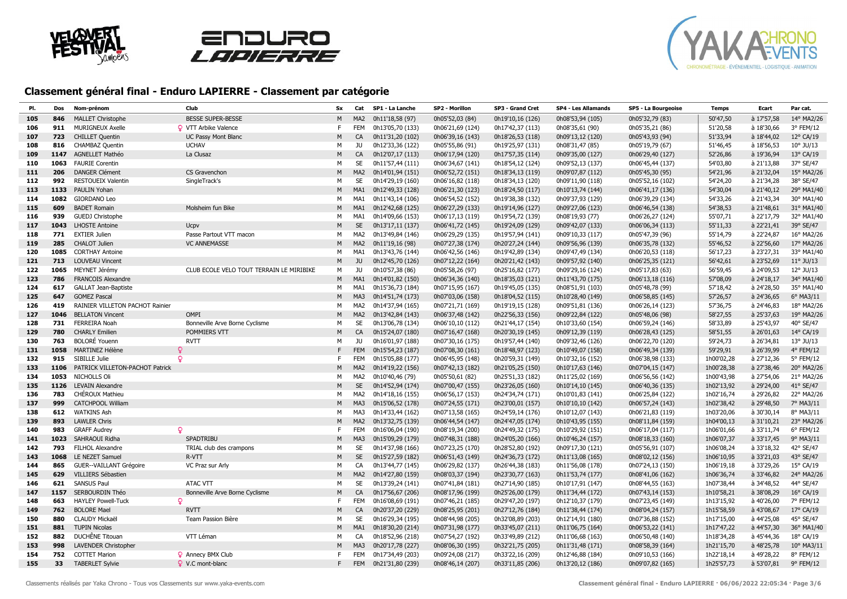





| PI. | Dos  | Nom-prénom                             | Club                                     | Sx | Cat             | SP1 - La Lanche  | SP2 - Morillon   | SP3 - Grand Cret | SP4 - Les Allamands | SP5 - La Bourgeoise | <b>Temps</b> | Ecart      | Par cat.           |
|-----|------|----------------------------------------|------------------------------------------|----|-----------------|------------------|------------------|------------------|---------------------|---------------------|--------------|------------|--------------------|
| 105 | 846  | <b>MALLET Christophe</b>               | <b>BESSE SUPER-BESSE</b>                 | M  | MA <sub>2</sub> | 0h11'18,58 (97)  | 0h05'52,03 (84)  | 0h19'10,16 (126) | 0h08'53,94 (105)    | 0h05'32,79 (83)     | 50'47,50     | à 17'57,58 | 14° MA2/26         |
| 106 | 911  | <b>MURIGNEUX Axelle</b>                | <b>Q</b> VTT Arbike Valence              | F. | <b>FEM</b>      | 0h13'05,70 (133) | 0h06'21,69 (124) | 0h17'42,37 (113) | 0h08'35,61 (90)     | 0h05'35,21 (86)     | 51'20.58     | à 18'30.66 | 3° FEM/12          |
| 107 | 723  | <b>CHILLET Quentin</b>                 | <b>UC Passy Mont Blanc</b>               | М  | CA              | 0h11'31,20 (102) | 0h06'39,16 (143) | 0h18'26,53 (118) | 0h09'13,12 (120)    | 0h05'43,93 (94)     | 51'33,94     | à 18'44,02 | 12° CA/19          |
| 108 | 816  | CHAMBAZ Quentin                        | <b>UCHAV</b>                             | м  | JU              | 0h12'33,36 (122) | 0h05'55,86 (91)  | 0h19'25,97 (131) | 0h08'31,47 (85)     | 0h05'19,79 (67)     | 51'46,45     | à 18'56,53 | $10^{\circ}$ JU/13 |
| 109 | 1147 | <b>AGNELLET Mathéo</b>                 | La Clusaz                                | M  | CA              | 0h12'07,17 (113) | 0h06'17,94 (120) | 0h17'57,35 (114) | 0h09'35,00 (127)    | 0h06'29,40 (127)    | 52'26,86     | à 19'36,94 | 13° CA/19          |
| 110 | 1063 | <b>FAURIE Corentin</b>                 |                                          | м  | SE              | 0h11'57,44 (111) | 0h06'34,67 (141) | 0h18'54,12 (124) | 0h09'52,13 (137)    | 0h06'45,44 (137)    | 54'03,80     | à 21'13,88 | 37° SE/47          |
| 111 | 206  | <b>DANGER Clément</b>                  | CS Gravenchon                            | M  | MA <sub>2</sub> | 0h14'01,94 (151) | 0h06'52,72 (151) | 0h18'34,13 (119) | 0h09'07,87 (112)    | 0h05'45,30 (95)     | 54'21,96     | à 21'32,04 | 15° MA2/26         |
| 112 | 992  | <b>RESTOUEIX Valentin</b>              | SingleTrack's                            | м  | <b>SE</b>       | 0h14'29,19 (160) | 0h06'16,82 (118) | 0h18'34,13 (120) | 0h09'11,90 (118)    | 0h05'52,16 (102)    | 54'24,20     | à 21'34,28 | 38° SE/47          |
| 113 | 1133 | PAULIN Yohan                           |                                          | М  | MA <sub>1</sub> | 0h12'49,33 (128) | 0h06'21,30 (123) | 0h18'24,50 (117) | 0h10'13,74 (144)    | 0h06'41,17 (136)    | 54'30,04     | à 21'40,12 | 29° MA1/40         |
| 114 | 1082 | <b>GIORDANO Leo</b>                    |                                          | м  | MA <sub>1</sub> | 0h11'43,14 (106) | 0h06'54,52 (152) | 0h19'38,38 (132) | 0h09'37,93 (129)    | 0h06'39,29 (134)    | 54'33,26     | à 21'43,34 | 30° MA1/40         |
| 115 | 609  | <b>BADET Romain</b>                    | Molsheim fun Bike                        | М  | MA1             | 0h12'42,68 (125) | 0h06'27,29 (133) | 0h19'14,96 (127) | 0h09'27,06 (123)    | 0h06'46,54 (138)    | 54'38,53     | à 21'48,61 | 31° MA1/40         |
| 116 | 939  | GUEDJ Christophe                       |                                          | М  | MA1             | 0h14'09,66 (153) | 0h06'17,13 (119) | 0h19'54,72 (139) | 0h08'19,93 (77)     | 0h06'26,27 (124)    | 55'07,71     | à 22'17,79 | 32° MA1/40         |
| 117 | 1043 | <b>LHOSTE Antoine</b>                  | Ucpv                                     | M  | <b>SE</b>       | 0h13'17,11 (137) | 0h06'41,72 (145) | 0h19'24,09 (129) | 0h09'42,07 (133)    | 0h06'06,34 (113)    | 55'11,33     | à 22'21,41 | 39° SE/47          |
| 118 | 771  | <b>EXTIER Julien</b>                   | Passe Partout VTT macon                  | M  | MA <sub>2</sub> | 0h13'49,84 (146) | 0h06'29,29 (135) | 0h19'57,94 (141) | 0h09'10,33 (117)    | 0h05'47,39 (96)     | 55'14,79     | à 22'24,87 | 16° MA2/26         |
| 119 | 285  | <b>CHALOT Julien</b>                   | <b>VC ANNEMASSE</b>                      | M  | MA <sub>2</sub> | 0h11'19,16 (98)  | 0h07'27,38 (174) | 0h20'27,24 (144) | 0h09'56,96 (139)    | 0h06'35,78 (132)    | 55'46,52     | à 22'56,60 | 17° MA2/26         |
| 120 | 1085 | <b>CORTHAY Antoine</b>                 |                                          | M  | MA <sub>1</sub> | 0h13'43,76 (144) | 0h06'42,56 (146) | 0h19'42,89 (134) | 0h09'47,49 (134)    | 0h06'20,53 (118)    | 56'17,23     | à 23'27,31 | 33° MA1/40         |
| 121 | 713  | <b>LOUVEAU Vincent</b>                 |                                          | M  | JU              | 0h12'45,70 (126) | 0h07'12,22 (164) | 0h20'21,42 (143) | 0h09'57,92 (140)    | 0h06'25,35 (121)    | 56'42,61     | à 23'52,69 | $11^{\circ}$ JU/13 |
| 122 | 1065 | MEYNET Jérémy                          | CLUB ECOLE VELO TOUT TERRAIN LE MIRIBIKE | м  | JU              | 0h10'57,38 (86)  | 0h05'58,26 (97)  | 0h25'16,82 (177) | 0h09'29,16 (124)    | 0h05'17,83 (63)     | 56'59,45     | à 24'09,53 | 12° JU/13          |
| 123 | 786  | <b>FRANCOIS Alexandre</b>              |                                          | M  | MA1             | 0h14'01,82 (150) | 0h06'34,36 (140) | 0h18'35,03 (121) | 0h11'43,70 (175)    | 0h06'13,18 (116)    | 57'08,09     | à 24'18,17 | 34° MA1/40         |
| 124 | 617  | <b>GALLAT Jean-Baptiste</b>            |                                          | M  | MA <sub>1</sub> | 0h15'36,73 (184) | 0h07'15,95 (167) | 0h19'45,05 (135) | 0h08'51,91 (103)    | 0h05'48,78 (99)     | 57'18,42     | à 24'28,50 | 35° MA1/40         |
| 125 | 647  | <b>GOMEZ Pascal</b>                    |                                          | M  | MA3             | 0h14'51,74 (173) | 0h07'03,06 (158) | 0h18'04,52 (115) | 0h10'28,40 (149)    | 0h06'58,85 (145)    | 57'26,57     | à 24'36,65 | 6° MA3/11          |
| 126 | 419  | <b>RAINIER VILLETON PACHOT Rainier</b> |                                          | M  | MA <sub>2</sub> | 0h14'37,94 (165) | 0h07'21,71 (169) | 0h19'19,15 (128) | 0h09'51,81 (136)    | 0h06'26,14 (123)    | 57'36,75     | à 24'46,83 | 18° MA2/26         |
| 127 | 1046 | <b>BELLATON Vincent</b>                | OMPI                                     | М  | MA <sub>2</sub> | 0h13'42,84 (143) | 0h06'37,48 (142) | 0h22'56,33 (156) | 0h09'22,84 (122)    | 0h05'48,06 (98)     | 58'27,55     | à 25'37,63 | 19° MA2/26         |
| 128 | 731  | <b>FERREIRA Noah</b>                   | Bonneville Arve Borne Cyclisme           | M  | <b>SE</b>       | 0h13'06,78 (134) | 0h06'10,10 (112) | 0h21'44,17 (154) | 0h10'33,60 (154)    | 0h06'59,24 (146)    | 58'33,89     | à 25'43,97 | 40° SE/47          |
| 129 | 780  | <b>CHARLY Emilien</b>                  | POMMIERS VTT                             | M  | CA              | 0h15'24,07 (180) | 0h07'16,47 (168) | 0h20'30,19 (145) | 0h09'12,39 (119)    | 0h06'28,43 (125)    | 58'51,55     | à 26'01,63 | 14° CA/19          |
| 130 | 763  | <b>BOLORÉ Youenn</b>                   | <b>RVTT</b>                              | м  | JU              | 0h16'01,97 (188) | 0h07'30,16 (175) | 0h19'57,44 (140) | 0h09'32,46 (126)    | 0h06'22,70 (120)    | 59'24,73     | à 26'34,81 | 13° JU/13          |
| 131 | 1058 | MARTINEZ Hélène                        | Q                                        | F  | <b>FEM</b>      | 0h15'54,23 (187) | 0h07'08,30 (161) | 0h18'48,97 (123) | 0h10'49,07 (158)    | 0h06'49,34 (139)    | 59'29,91     | à 26'39,99 | 4° FEM/12          |
| 132 | 915  | SIBILLE Julie                          | Q                                        | F. | <b>FEM</b>      | 0h15'05,88 (177) | 0h06'45,95 (148) | 0h20'59,31 (149) | 0h10'32,16 (152)    | 0h06'38,98 (133)    | 1h00'02,28   | à 27'12,36 | 5° FEM/12          |
| 133 | 1106 | PATRICK VILLETON-PACHOT Patrick        |                                          | M  | MA <sub>2</sub> | 0h14'19,22 (156) | 0h07'42,13 (182) | 0h21'05,25 (150) | 0h10'17,63 (146)    | 0h07'04,15 (147)    | 1h00'28,38   | à 27'38,46 | 20° MA2/26         |
| 134 | 1053 | NICHOLLS Oli                           |                                          | м  | MA <sub>2</sub> | 0h10'40,46 (79)  | 0h05'50,61 (82)  | 0h25'51,33 (182) | 0h11'25,02 (169)    | 0h06'56,56 (142)    | 1h00'43,98   | à 27'54,06 | 21° MA2/26         |
| 135 | 1126 | <b>LEVAIN Alexandre</b>                |                                          | M  | <b>SE</b>       | 0h14'52,94 (174) | 0h07'00,47 (155) | 0h23'26,05 (160) | 0h10'14,10 (145)    | 0h06'40,36 (135)    | 1h02'13,92   | à 29'24,00 | 41° SE/47          |
| 136 | 783  | CHÉROUX Mathieu                        |                                          | M  | MA <sub>2</sub> | 0h14'18,16 (155) | 0h06'56,17 (153) | 0h24'34,74 (171) | 0h10'01,83 (141)    | 0h06'25,84 (122)    | 1h02'16,74   | à 29'26,82 | 22° MA2/26         |
| 137 | 999  | <b>CATCHPOOL William</b>               |                                          | M  | MA3             | 0h15'06,52 (178) | 0h07'24,55 (171) | 0h23'00,01 (157) | 0h10'10,10 (142)    | 0h06'57,24 (143)    | 1h02'38,42   | à 29'48,50 | 7° MA3/11          |
| 138 | 612  | <b>WATKINS Ash</b>                     |                                          | M  | MA3             | 0h14'33,44 (162) | 0h07'13,58 (165) | 0h24'59,14 (176) | 0h10'12,07 (143)    | 0h06'21,83 (119)    | 1h03'20,06   | à 30'30,14 | 8° MA3/11          |
| 139 | 893  | <b>LAWLER Chris</b>                    |                                          | M  | MA <sub>2</sub> | 0h13'32,75 (139) | 0h06'44,54 (147) | 0h24'47,05 (174) | 0h10'43,95 (155)    | 0h08'11,84 (159)    | 1h04'00,13   | à 31'10,21 | 23° MA2/26         |
| 140 | 983  | <b>GRAFF Audrey</b>                    | Q                                        | F  | <b>FEM</b>      | 0h16'06,04 (190) | 0h08'19,34 (200) | 0h24'49,32 (175) | 0h10'29,92 (151)    | 0h06'17,04 (117)    | 1h06'01,66   | à 33'11.74 | 6° FEM/12          |
| 141 | 1023 | SAHRAOUI Ridha                         | SPADTRIBU                                | М  | MA3             | 0h15'09,29 (179) | 0h07'48,31 (188) | 0h24'05,20 (166) | 0h10'46,24 (157)    | 0h08'18,33 (160)    | 1h06'07,37   | à 33'17,45 | 9° MA3/11          |
| 142 | 793  | <b>FILHOL Alexandre</b>                | TRIAL club des crampons                  | м  | <b>SE</b>       | 0h14'37,98 (166) | 0h07'23,25 (170) | 0h28'52,80 (192) | 0h09'17,30 (121)    | 0h05'56,91 (107)    | 1h06'08,24   | à 33'18,32 | 42° SE/47          |
| 143 | 1068 | LE NEZET Samuel                        | R-VTT                                    | M  | <b>SE</b>       | 0h15'27,59 (182) | 0h06'51,43 (149) | 0h24'36,73 (172) | 0h11'13,08 (165)    | 0h08'02,12 (156)    | 1h06'10,95   | à 33'21,03 | 43° SE/47          |
| 144 | 865  | <b>GUER--VAILLANT Grégoire</b>         | VC Praz sur Arly                         | M  | CA              | 0h13'44,77 (145) | 0h06'29,82 (137) | 0h26'44,38 (183) | 0h11'56,08 (178)    | 0h07'24,13 (150)    | 1h06'19,18   | à 33'29,26 | 15° CA/19          |
| 145 | 629  | VILLIERS Sébastien                     |                                          | M  | MA <sub>2</sub> | 0h14'27,80 (159) | 0h08'03,37 (194) | 0h23'30,77 (163) | 0h11'53,74 (177)    | 0h08'41,06 (162)    | 1h06'36,74   | à 33'46,82 | 24° MA2/26         |
| 146 | 621  | <b>SANSUS Paul</b>                     | <b>ATAC VTT</b>                          | M  | <b>SE</b>       | 0h13'39,24 (141) | 0h07'41,84 (181) | 0h27'14,90 (185) | 0h10'17,91 (147)    | 0h08'44,55 (163)    | 1h07'38,44   | à 34'48,52 | 44° SE/47          |
| 147 | 1157 | SERBOURDIN Théo                        | Bonneville Arve Borne Cyclisme           | M  | CA              | 0h17'56,67 (206) | 0h08'17,96 (199) | 0h25'26,00 (179) | 0h11'34,44 (172)    | 0h07'43,14 (153)    | 1h10'58,21   | à 38'08,29 | 16° CA/19          |
| 148 | 663  | <b>HAYLEY Powell-Tuck</b>              | Ω                                        | F. | <b>FEM</b>      | 0h16'08,69 (191) | 0h07'46,21 (185) | 0h29'47,20 (197) | 0h12'10,37 (179)    | 0h07'23,45 (149)    | 1h13'15,92   | à 40'26,00 | 7° FEM/12          |
| 149 | 762  | <b>BOLORE Mael</b>                     | <b>RVTT</b>                              | M  | CA              | 0h20'37,20 (229) | 0h08'25,95 (201) | 0h27'12,76 (184) | 0h11'38,44 (174)    | 0h08'04,24 (157)    | 1h15'58,59   | à 43'08,67 | 17° CA/19          |
| 150 | 880  | <b>CLAUDY Mickaël</b>                  | Team Passion Bière                       | M  | SE              | 0h16'29,34 (195) | 0h08'44,98 (205) | 0h32'08,89 (203) | 0h12'14,91 (180)    | 0h07'36,88 (152)    | 1h17'15,00   | à 44'25,08 | 45° SE/47          |
| 151 | 881  | <b>TUPIN Nicolas</b>                   |                                          | М  | MA1             | 0h18'30,20 (214) | 0h07'31,98 (177) | 0h33'45,07 (211) | 0h11'06,75 (164)    | 0h06'53,22 (141)    | 1h17'47,22   | à 44'57,30 | 36° MA1/40         |
| 152 | 882  | DUCHÊNE Titouan                        | VTT Léman                                | M  | CA              | 0h18'52,96 (218) | 0h07'54,27 (192) | 0h33'49,89 (212) | 0h11'06,68 (163)    | 0h06'50,48 (140)    | 1h18'34,28   | à 45'44,36 | 18° CA/19          |
| 153 | 998  | <b>LAVENDER Christopher</b>            |                                          | M  | MA3             | 0h20'17,78 (227) | 0h08'06,30 (195) | 0h32'21,75 (205) | 0h11'31,48 (171)    | 0h08'58,39 (164)    | 1h21'15,70   | à 48'25,78 | 10° MA3/11         |
| 154 | 752  | <b>COTTET Marion</b>                   | <b>Q</b> Annecy BMX Club                 | F. | <b>FEM</b>      | 0h17'34,49 (203) | 0h09'24,08 (217) | 0h33'22,16 (209) | 0h12'46,88 (184)    | 0h09'10,53 (166)    | 1h22'18,14   | à 49'28,22 | 8° FEM/12          |
| 155 | 33   | <b>TABERLET Sylvie</b>                 | Q V.C mont-blanc                         | F  | <b>FEM</b>      | 0h21'31,80 (239) | 0h08'46,14 (207) | 0h33'11,85 (206) | 0h13'20,12 (186)    | 0h09'07,82 (165)    | 1h25'57,73   | à 53'07,81 | 9° FEM/12          |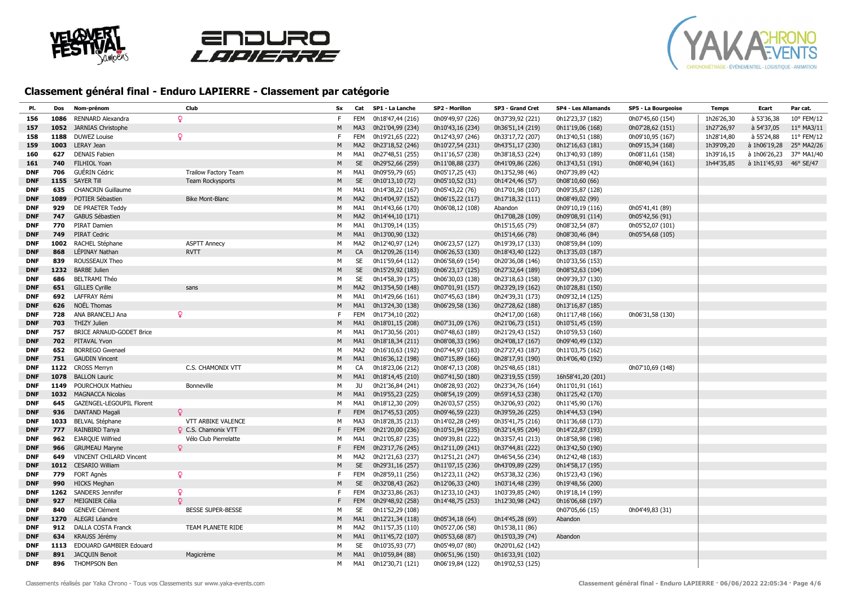





| PI.        | Dos  | Nom-prénom                      | Club                        | Sx        | Cat             | SP1 - La Lanche  | SP2 - Morillon   | SP3 - Grand Cret | <b>SP4 - Les Allamands</b> | SP5 - La Bourgeoise | <b>Temps</b> | Ecart                  | Par cat.   |
|------------|------|---------------------------------|-----------------------------|-----------|-----------------|------------------|------------------|------------------|----------------------------|---------------------|--------------|------------------------|------------|
| 156        | 1086 | RENNARD Alexandra               | Q.                          | F.        | <b>FEM</b>      | 0h18'47,44 (216) | 0h09'49,97 (226) | 0h37'39,92 (221) | 0h12'23,37 (182)           | 0h07'45,60 (154)    | 1h26'26,30   | à 53'36,38             | 10° FEM/12 |
| 157        | 1052 | <b>JARNIAS Christophe</b>       |                             | M         | MA3             | 0h21'04,99 (234) | 0h10'43,16 (234) | 0h36'51,14 (219) | 0h11'19,06 (168)           | 0h07'28,62 (151)    | 1h27'26,97   | à 54'37,05             | 11° MA3/11 |
| 158        | 1188 | <b>DUWEZ Louise</b>             | Q                           | F.        | <b>FEM</b>      | 0h19'21,65 (222) | 0h12'43,97 (246) | 0h33'17,72 (207) | 0h13'40,51 (188)           | 0h09'10,95 (167)    | 1h28'14,80   | à 55'24,88             | 11° FEM/12 |
| 159        | 1003 | <b>LERAY Jean</b>               |                             | M         | MA <sub>2</sub> | 0h23'18,52 (246) | 0h10'27,54 (231) | 0h43'51,17 (230) | 0h12'16,63 (181)           | 0h09'15,34 (168)    | 1h39'09,20   | à 1h06'19,28           | 25° MA2/26 |
| 160        | 627  | <b>DENAIS Fabien</b>            |                             | М         | MA <sub>1</sub> | 0h27'48,51 (255) | 0h11'16,57 (238) | 0h38'18,53 (224) | 0h13'40,93 (189)           | 0h08'11,61 (158)    | 1h39'16,15   | à 1h06'26,23           | 37° MA1/40 |
| 161        | 740  | FILHIOL Yoan                    |                             | M         | <b>SE</b>       | 0h29'52,66 (259) | 0h11'08,88 (237) | 0h41'09,86 (226) | 0h13'43,51 (191)           | 0h08'40,94 (161)    | 1h44'35,85   | à 1h11'45,93 46° SE/47 |            |
| <b>DNF</b> | 706  | <b>GUÉRIN Cédric</b>            | <b>Trailow Factory Team</b> | м         | MA <sub>1</sub> | 0h09'59,79 (65)  | 0h05'17,25 (43)  | 0h13'52,98 (46)  | 0h07'39,89 (42)            |                     |              |                        |            |
| <b>DNF</b> | 1155 | <b>SAYER Till</b>               | Team Rockysports            | M         | <b>SE</b>       | 0h10'13,10 (72)  | 0h05'10,52 (31)  | 0h14'24,46 (57)  | 0h08'10,60 (66)            |                     |              |                        |            |
| <b>DNF</b> | 635  | <b>CHANCRIN Guillaume</b>       |                             | м         | MA <sub>1</sub> | 0h14'38,22 (167) | 0h05'43,22 (76)  | 0h17'01,98 (107) | 0h09'35,87 (128)           |                     |              |                        |            |
| <b>DNF</b> | 1089 | POTIER Sébastien                | <b>Bike Mont-Blanc</b>      | M         | MA <sub>2</sub> | 0h14'04,97 (152) | 0h06'15,22 (117) | 0h17'18,32 (111) | 0h08'49,02 (99)            |                     |              |                        |            |
| <b>DNF</b> | 929  | DE PRAETER Teddy                |                             | М         | MA1             | 0h14'43,66 (170) | 0h06'08,12 (108) | Abandon          | 0h09'10,19 (116)           | 0h05'41,41 (89)     |              |                        |            |
| <b>DNF</b> | 747  | <b>GABUS Sébastien</b>          |                             | M         | MA <sub>2</sub> | 0h14'44,10 (171) |                  | 0h17'08,28 (109) | 0h09'08,91 (114)           | 0h05'42,56 (91)     |              |                        |            |
| <b>DNF</b> | 770  | PIRAT Damien                    |                             | M         | MA1             | 0h13'09,14 (135) |                  | 0h15'15,65 (79)  | 0h08'32,54 (87)            | 0h05'52,07 (101)    |              |                        |            |
| <b>DNF</b> | 749  | <b>PIRAT Cedric</b>             |                             | M         | MA <sub>1</sub> | 0h13'00,90 (132) |                  | 0h15'14,66 (78)  | 0h08'30,46 (84)            | 0h05'54,68 (105)    |              |                        |            |
| <b>DNF</b> | 1002 | RACHEL Stéphane                 | <b>ASPTT Annecy</b>         | М         | MA2             | 0h12'40,97 (124) | 0h06'23,57 (127) | 0h19'39,17 (133) | 0h08'59,84 (109)           |                     |              |                        |            |
| <b>DNF</b> | 868  | LÉPINAY Nathan                  | <b>RVTT</b>                 | M         | CA              | 0h12'09,26 (114) | 0h06'26,53 (130) | 0h18'43,40 (122) | 0h13'35,03 (187)           |                     |              |                        |            |
| <b>DNF</b> | 839  | ROUSSEAUX Theo                  |                             | М         | SE              | 0h11'59,64 (112) | 0h06'58,69 (154) | 0h20'36,08 (146) | 0h10'33,56 (153)           |                     |              |                        |            |
| <b>DNF</b> |      | 1232 BARBE Julien               |                             | ${\sf M}$ | SE              | 0h15'29,92 (183) | 0h06'23,17 (125) | 0h27'32,64 (189) | 0h08'52,63 (104)           |                     |              |                        |            |
| <b>DNF</b> | 686  | <b>BELTRAMI Théo</b>            |                             | М         | SE              | 0h14'58,39 (175) | 0h06'30,03 (138) | 0h23'18,63 (158) | 0h09'39,37 (130)           |                     |              |                        |            |
| <b>DNF</b> | 651  | <b>GILLES Cyrille</b>           | sans                        | M         | MA <sub>2</sub> | 0h13'54,50 (148) | 0h07'01,91 (157) | 0h23'29,19 (162) | 0h10'28,81 (150)           |                     |              |                        |            |
| <b>DNF</b> | 692  | <b>LAFFRAY Rémi</b>             |                             | M         | MA <sub>1</sub> | 0h14'29,66 (161) | 0h07'45,63 (184) | 0h24'39,31 (173) | 0h09'32,14 (125)           |                     |              |                        |            |
| <b>DNF</b> | 626  | NOËL Thomas                     |                             | M         | MA <sub>1</sub> | 0h13'24,30 (138) | 0h06'29,58 (136) | 0h27'28,62 (188) | 0h13'16,87 (185)           |                     |              |                        |            |
| <b>DNF</b> | 728  | ANA BRANCELJ Ana                | ₽                           | F         | <b>FEM</b>      | 0h17'34,10 (202) |                  | 0h24'17,00 (168) | 0h11'17,48 (166)           | 0h06'31,58 (130)    |              |                        |            |
| <b>DNF</b> | 703  | <b>THIZY Julien</b>             |                             | M         | MA1             | 0h18'01,15 (208) | 0h07'31,09 (176) | 0h21'06,73 (151) | 0h10'51,45 (159)           |                     |              |                        |            |
| <b>DNF</b> | 757  | <b>BRICE ARNAUD-GODET Brice</b> |                             | М         | MA1             | 0h17'30,56 (201) | 0h07'48,63 (189) | 0h21'29,43 (152) | 0h10'59,53 (160)           |                     |              |                        |            |
| <b>DNF</b> | 702  | PITAVAL Yvon                    |                             | M         | MA <sub>1</sub> | 0h18'18,34 (211) | 0h08'08,33 (196) | 0h24'08,17 (167) | 0h09'40,49 (132)           |                     |              |                        |            |
| <b>DNF</b> | 652  | <b>BORREGO Gwenael</b>          |                             | м         | MA <sub>2</sub> | 0h16'10,63 (192) | 0h07'44,97 (183) | 0h27'27,43 (187) | 0h11'03,75 (162)           |                     |              |                        |            |
| <b>DNF</b> | 751  | <b>GAUDIN Vincent</b>           |                             | M         | MA1             | 0h16'36,12 (198) | 0h07'15,89 (166) | 0h28'17,91 (190) | 0h14'06,40 (192)           |                     |              |                        |            |
| <b>DNF</b> | 1122 | <b>CROSS Merryn</b>             | C.S. CHAMONIX VTT           | M         | CA              | 0h18'23,06 (212) | 0h08'47,13 (208) | 0h25'48,65 (181) |                            | 0h07'10,69 (148)    |              |                        |            |
| <b>DNF</b> | 1078 | <b>BALLON Lauric</b>            |                             | M         | MA <sub>1</sub> | 0h18'14,45 (210) | 0h07'41,50 (180) | 0h23'19,55 (159) | 16h58'41,20 (201)          |                     |              |                        |            |
| <b>DNF</b> | 1149 | POURCHOUX Mathieu               | <b>Bonneville</b>           | M         | JU              | 0h21'36,84 (241) | 0h08'28,93 (202) | 0h23'34,76 (164) | 0h11'01,91 (161)           |                     |              |                        |            |
| <b>DNF</b> | 1032 | <b>MAGNACCA Nicolas</b>         |                             | M         | MA1             | 0h19'55,23 (225) | 0h08'54,19 (209) | 0h59'14,53 (238) | 0h11'25,42 (170)           |                     |              |                        |            |
| <b>DNF</b> | 645  | GAZENGEL-LEGOUPIL Florent       |                             | М         | MA <sub>1</sub> | 0h18'12,30 (209) | 0h26'03,57 (255) | 0h32'06,93 (202) | 0h11'45,90 (176)           |                     |              |                        |            |
| <b>DNF</b> | 936  | <b>DANTAND Magali</b>           | o                           | F         | <b>FEM</b>      | 0h17'45,53 (205) | 0h09'46,59 (223) | 0h39'59,26 (225) | 0h14'44,53 (194)           |                     |              |                        |            |
| <b>DNF</b> | 1033 | <b>BELVAL Stéphane</b>          | VTT ARBIKE VALENCE          | М         | MA3             | 0h18'28,35 (213) | 0h14'02,28 (249) | 0h35'41,75 (216) | 0h11'36,68 (173)           |                     |              |                        |            |
| <b>DNF</b> | 777  | RAINBIRD Tanya                  | <b>Q</b> C.S. Chamonix VTT  | F         | <b>FEM</b>      | 0h21'20,00 (236) | 0h10'51,94 (235) | 0h32'14,95 (204) | 0h14'22,87 (193)           |                     |              |                        |            |
| <b>DNF</b> | 962  | <b>EJARQUE Wilfried</b>         | Vélo Club Pierrelatte       | м         | MA1             | 0h21'05,87 (235) | 0h09'39,81 (222) | 0h33'57,41 (213) | 0h18'58,98 (198)           |                     |              |                        |            |
| <b>DNF</b> | 966  | <b>GRUMEAU Maryne</b>           | Q                           | F         | FEM             | 0h23'17,76 (245) | 0h12'11,09 (241) | 0h37'44,81 (222) | 0h13'42,50 (190)           |                     |              |                        |            |
| <b>DNF</b> | 649  | <b>VINCENT CHILARD Vincent</b>  |                             | М         | MA2             | 0h21'21,63 (237) | 0h12'51,21 (247) | 0h46'54,56 (234) | 0h12'42,48 (183)           |                     |              |                        |            |
| <b>DNF</b> | 1012 | <b>CESARIO William</b>          |                             | M         | <b>SE</b>       | 0h29'31,16 (257) | 0h11'07,15 (236) | 0h43'09,89 (229) | 0h14'58,17 (195)           |                     |              |                        |            |
| <b>DNF</b> | 779  | <b>FORT Agnès</b>               | Q                           | F.        | <b>FEM</b>      | 0h28'59,11 (256) | 0h12'23,11 (242) | 0h53'38,32 (236) | 0h15'23,43 (196)           |                     |              |                        |            |
| <b>DNF</b> | 990  | <b>HICKS Meghan</b>             |                             | M         | <b>SE</b>       | 0h32'08,43 (262) | 0h12'06,33 (240) | 1h03'14,48 (239) | 0h19'48,56 (200)           |                     |              |                        |            |
| <b>DNF</b> | 1262 | <b>SANDERS Jennifer</b>         | Q                           | F         | <b>FEM</b>      | 0h32'33,86 (263) | 0h12'33,10 (243) | 1h03'39,85 (240) | 0h19'18,14 (199)           |                     |              |                        |            |
| <b>DNF</b> | 927  | <b>MEIGNIER Célia</b>           | $\circ$                     | F         | <b>FEM</b>      | 0h29'48,92 (258) | 0h14'48,75 (253) | 1h12'30,98 (242) | 0h16'06,68 (197)           |                     |              |                        |            |
| <b>DNF</b> | 840  | <b>GENEVE Clément</b>           | <b>BESSE SUPER-BESSE</b>    | М         | SE              | 0h11'52,29 (108) |                  |                  | 0h07'05,66 (15)            | 0h04'49,83 (31)     |              |                        |            |
| <b>DNF</b> | 1270 | ALEGRI Léandre                  |                             | M         | MA <sub>1</sub> | 0h12'21,34 (118) | 0h05'34,18 (64)  | 0h14'45,28 (69)  | Abandon                    |                     |              |                        |            |
| <b>DNF</b> | 912  | DALLA COSTA Franck              | TEAM PLANETE RIDE           | м         | MA2             | 0h11'57,35 (110) | 0h05'27,06 (58)  | 0h15'38,11 (86)  |                            |                     |              |                        |            |
| <b>DNF</b> | 634  | KRAUSS Jérémy                   |                             | M         | MA1             | 0h11'45,72 (107) | 0h05'53,68 (87)  | 0h15'03,39 (74)  | Abandon                    |                     |              |                        |            |
| <b>DNF</b> | 1113 | EDOUARD GAMBIER Edouard         |                             | М         | SE              | 0h10'35,93 (77)  | 0h05'49,07 (80)  | 0h20'01,62 (142) |                            |                     |              |                        |            |
| <b>DNF</b> | 891  | <b>JACQUIN Benoit</b>           | Magicrème                   | M         | MA1             | 0h10'59,84 (88)  | 0h06'51,96 (150) | 0h16'33,91 (102) |                            |                     |              |                        |            |
| <b>DNF</b> | 896  | <b>THOMPSON Ben</b>             |                             | M         | MA1             | 0h12'30,71 (121) | 0h06'19,84 (122) | 0h19'02,53 (125) |                            |                     |              |                        |            |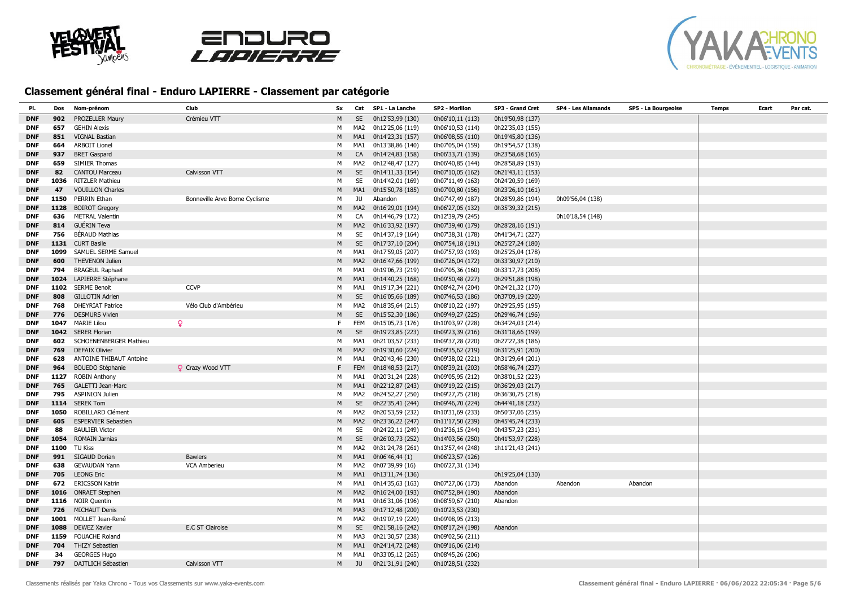





| PI.        | Dos  | Nom-prénom                         | Club                           | Sx | Cat             | SP1 - La Lanche  | SP2 - Morillon   | SP3 - Grand Cret | SP4 - Les Allamands | SP5 - La Bourgeoise | Temps | Ecart | Par cat. |
|------------|------|------------------------------------|--------------------------------|----|-----------------|------------------|------------------|------------------|---------------------|---------------------|-------|-------|----------|
| <b>DNF</b> | 902  | PROZELLER Maury                    | Crémieu VTT                    | M  | <b>SE</b>       | 0h12'53,99 (130) | 0h06'10,11 (113) | 0h19'50,98 (137) |                     |                     |       |       |          |
| <b>DNF</b> | 657  | <b>GEHIN Alexis</b>                |                                | м  | MA <sub>2</sub> | 0h12'25,06 (119) | 0h06'10,53 (114) | 0h22'35,03 (155) |                     |                     |       |       |          |
| <b>DNF</b> | 851  | <b>VIGNAL Bastian</b>              |                                | M  | MA <sub>1</sub> | 0h14'23,31 (157) | 0h06'08,55 (110) | 0h19'45,80 (136) |                     |                     |       |       |          |
| <b>DNF</b> | 664  | <b>ARBOIT Lionel</b>               |                                | М  | MA1             | 0h13'38,86 (140) | 0h07'05,04 (159) | 0h19'54,57 (138) |                     |                     |       |       |          |
| <b>DNF</b> | 937  | <b>BRET Gaspard</b>                |                                | M  | CA              | 0h14'24,83 (158) | 0h06'33,71 (139) | 0h23'58,68 (165) |                     |                     |       |       |          |
| <b>DNF</b> | 659  | <b>SIMIER Thomas</b>               |                                | м  | MA2             | 0h12'48,47 (127) | 0h06'40,85 (144) | 0h28'58,89 (193) |                     |                     |       |       |          |
| <b>DNF</b> | 82   | <b>CANTOU Marceau</b>              | Calvisson VTT                  | M  | <b>SE</b>       | 0h14'11,33 (154) | 0h07'10,05 (162) | 0h21'43,11 (153) |                     |                     |       |       |          |
| <b>DNF</b> | 1036 | <b>RITZLER Mathieu</b>             |                                | м  | SE              | 0h14'42,01 (169) | 0h07'11,49 (163) | 0h24'20,59 (169) |                     |                     |       |       |          |
| <b>DNF</b> | 47   | <b>VOUILLON Charles</b>            |                                | M  | MA1             | 0h15'50,78 (185) | 0h07'00,80 (156) | 0h23'26,10 (161) |                     |                     |       |       |          |
| <b>DNF</b> | 1150 | PERRIN Ethan                       | Bonneville Arve Borne Cyclisme | М  | JU.             | Abandon          | 0h07'47,49 (187) | 0h28'59,86 (194) | 0h09'56,04 (138)    |                     |       |       |          |
| <b>DNF</b> | 1128 | <b>BOIROT Gregory</b>              |                                | M  | MA <sub>2</sub> | 0h16'29,01 (194) | 0h06'27,05 (132) | 0h35'39,32 (215) |                     |                     |       |       |          |
| DNF        | 636  | <b>METRAL Valentin</b>             |                                | М  | CA              | 0h14'46,79 (172) | 0h12'39,79 (245) |                  | 0h10'18,54 (148)    |                     |       |       |          |
| <b>DNF</b> | 814  | <b>GUÉRIN Teva</b>                 |                                | M  | MA <sub>2</sub> | 0h16'33,92 (197) | 0h07'39,40 (179) | 0h28'28,16 (191) |                     |                     |       |       |          |
| <b>DNF</b> | 756  | <b>BÉRAUD Mathias</b>              |                                | м  | SE              | 0h14'37,19 (164) | 0h07'38,31 (178) | 0h41'34,71 (227) |                     |                     |       |       |          |
| <b>DNF</b> | 1131 | <b>CURT Basile</b>                 |                                | М  | <b>SE</b>       | 0h17'37,10 (204) | 0h07'54,18 (191) | 0h25'27,24 (180) |                     |                     |       |       |          |
| <b>DNF</b> | 1099 | SAMUEL SERME Samuel                |                                | м  | MA1             | 0h17'59,05 (207) | 0h07'57,93 (193) | 0h25'25,04 (178) |                     |                     |       |       |          |
| <b>DNF</b> | 600  | <b>THEVENON Julien</b>             |                                | M  | MA <sub>2</sub> | 0h16'47,66 (199) | 0h07'26,04 (172) | 0h33'30,97 (210) |                     |                     |       |       |          |
| <b>DNF</b> | 794  | <b>BRAGEUL Raphael</b>             |                                | м  | MA1             | 0h19'06,73 (219) | 0h07'05,36 (160) | 0h33'17,73 (208) |                     |                     |       |       |          |
| <b>DNF</b> | 1024 | LAPIERRE Stéphane                  |                                | M  | MA1             | 0h14'40,25 (168) | 0h09'50,48 (227) | 0h29'51,88 (198) |                     |                     |       |       |          |
| <b>DNF</b> | 1102 | <b>SERME Benoit</b>                | <b>CCVP</b>                    | М  | MA1             | 0h19'17,34 (221) | 0h08'42,74 (204) | 0h24'21,32 (170) |                     |                     |       |       |          |
| <b>DNF</b> | 808  | <b>GILLOTIN Adrien</b>             |                                | M  | <b>SE</b>       | 0h16'05,66 (189) | 0h07'46,53 (186) | 0h37'09,19 (220) |                     |                     |       |       |          |
| <b>DNF</b> | 768  | <b>DHEYRIAT Patrice</b>            | Vélo Club d'Ambérieu           | м  | MA <sub>2</sub> | 0h18'35,64 (215) | 0h08'10,22 (197) | 0h29'25,95 (195) |                     |                     |       |       |          |
| <b>DNF</b> | 776  | <b>DESMURS Vivien</b>              |                                | М  | <b>SE</b>       | 0h15'52,30 (186) | 0h09'49,27 (225) | 0h29'46,74 (196) |                     |                     |       |       |          |
| <b>DNF</b> | 1047 | $\mathbf{Q}$<br><b>MARIE Lilou</b> |                                | F. | <b>FEM</b>      | 0h15'05,73 (176) | 0h10'03,97 (228) | 0h34'24,03 (214) |                     |                     |       |       |          |
| <b>DNF</b> | 1042 | <b>SERER Florian</b>               |                                | M  | <b>SE</b>       | 0h19'23,85 (223) | 0h09'23,39 (216) | 0h31'18,66 (199) |                     |                     |       |       |          |
| DNF        | 602  | SCHOENENBERGER Mathieu             |                                | М  | MA1             | 0h21'03,57 (233) | 0h09'37,28 (220) | 0h27'27,38 (186) |                     |                     |       |       |          |
| <b>DNF</b> | 769  | <b>DEFAIX Olivier</b>              |                                | M  | MA <sub>2</sub> | 0h19'30,60 (224) | 0h09'35,62 (219) | 0h31'25,91 (200) |                     |                     |       |       |          |
| DNF        | 628  | <b>ANTOINE THIBAUT Antoine</b>     |                                | М  | MA <sub>1</sub> | 0h20'43,46 (230) | 0h09'38,02 (221) | 0h31'29,64 (201) |                     |                     |       |       |          |
| <b>DNF</b> | 964  | <b>BOUEDO Stéphanie</b>            | Crazy Wood VTT                 | F  | <b>FEM</b>      | 0h18'48,53 (217) | 0h08'39,21 (203) | 0h58'46,74 (237) |                     |                     |       |       |          |
| <b>DNF</b> | 1127 | <b>ROBIN Anthony</b>               |                                | м  | MA1             | 0h20'31,24 (228) | 0h09'05,95 (212) | 0h38'01,52 (223) |                     |                     |       |       |          |
| <b>DNF</b> | 765  | <b>GALETTI Jean-Marc</b>           |                                | M  | MA1             | 0h22'12,87 (243) | 0h09'19,22 (215) | 0h36'29,03 (217) |                     |                     |       |       |          |
| <b>DNF</b> | 795  | <b>ASPINION Julien</b>             |                                | M  | MA2             | 0h24'52,27 (250) | 0h09'27,75 (218) | 0h36'30,75 (218) |                     |                     |       |       |          |
| <b>DNF</b> | 1114 | <b>SEREK Tom</b>                   |                                | M  | <b>SE</b>       | 0h22'35,41 (244) | 0h09'46,70 (224) | 0h44'41,18 (232) |                     |                     |       |       |          |
| <b>DNF</b> | 1050 | ROBILLARD Clément                  |                                | М  | MA <sub>2</sub> | 0h20'53,59 (232) | 0h10'31,69 (233) | 0h50'37,06 (235) |                     |                     |       |       |          |
| <b>DNF</b> | 605  | <b>ESPERVIER Sebastien</b>         |                                | M  | MA <sub>2</sub> | 0h23'36,22 (247) | 0h11'17,50 (239) | 0h45'45,74 (233) |                     |                     |       |       |          |
| <b>DNF</b> | 88   | <b>BAULIER Victor</b>              |                                | М  | SE              | 0h24'22,11 (249) | 0h12'36,15 (244) | 0h43'57,23 (231) |                     |                     |       |       |          |
| <b>DNF</b> | 1054 | <b>ROMAIN Jarnias</b>              |                                | M  | <b>SE</b>       | 0h26'03,73 (252) | 0h14'03,56 (250) | 0h41'53,97 (228) |                     |                     |       |       |          |
| <b>DNF</b> | 1100 | <b>TU Kiss</b>                     |                                | M  | MA2             | 0h31'24,78 (261) | 0h13'57,44 (248) | 1h11'21,43 (241) |                     |                     |       |       |          |
| <b>DNF</b> | 991  | SIGAUD Dorian                      | <b>Bawlers</b>                 | М  | MA1             | 0h06'46,44 (1)   | 0h06'23,57 (126) |                  |                     |                     |       |       |          |
| <b>DNF</b> | 638  | <b>GEVAUDAN Yann</b>               | <b>VCA Amberieu</b>            | М  | MA <sub>2</sub> | 0h07'39,99 (16)  | 0h06'27,31 (134) |                  |                     |                     |       |       |          |
| <b>DNF</b> | 705  | <b>LEONG Eric</b>                  |                                | M  | MA1             | 0h13'11,74 (136) |                  | 0h19'25,04 (130) |                     |                     |       |       |          |
| DNF        | 672  | <b>ERICSSON Katrin</b>             |                                | М  | MA1             | 0h14'35,63 (163) | 0h07'27,06 (173) | Abandon          | Abandon             | Abandon             |       |       |          |
| <b>DNF</b> | 1016 | <b>ONRAET Stephen</b>              |                                | M  | MA <sub>2</sub> | 0h16'24,00 (193) | 0h07'52,84 (190) | Abandon          |                     |                     |       |       |          |
| DNF        | 1116 | <b>NOIR Quentin</b>                |                                | м  | MA1             | 0h16'31,06 (196) | 0h08'59,67 (210) | Abandon          |                     |                     |       |       |          |
| <b>DNF</b> | 726  | <b>MICHAUT Denis</b>               |                                | M  | MA3             | 0h17'12,48 (200) | 0h10'23,53 (230) |                  |                     |                     |       |       |          |
| <b>DNF</b> | 1001 | MOLLET Jean-René                   |                                | м  | MA <sub>2</sub> | 0h19'07,19 (220) | 0h09'08,95 (213) |                  |                     |                     |       |       |          |
| <b>DNF</b> | 1088 | <b>DEWEZ Xavier</b>                | <b>E.C ST Clairoise</b>        | М  | <b>SE</b>       | 0h21'58,16 (242) | 0h08'17,24 (198) | Abandon          |                     |                     |       |       |          |
| <b>DNF</b> | 1159 | <b>FOUACHE Roland</b>              |                                | м  | MA3             | 0h21'30,57 (238) | 0h09'02,56 (211) |                  |                     |                     |       |       |          |
| <b>DNF</b> | 704  | <b>THIZY Sebastien</b>             |                                | M  | MA1             | 0h24'14,72 (248) | 0h09'16,06 (214) |                  |                     |                     |       |       |          |
| <b>DNF</b> | 34   | <b>GEORGES Hugo</b>                |                                | M  | MA <sub>1</sub> | 0h33'05,12 (265) | 0h08'45,26 (206) |                  |                     |                     |       |       |          |
| <b>DNF</b> | 797  | DAJTLICH Sébastien                 | Calvisson VTT                  | M  | JU              | 0h21'31,91 (240) | 0h10'28,51 (232) |                  |                     |                     |       |       |          |